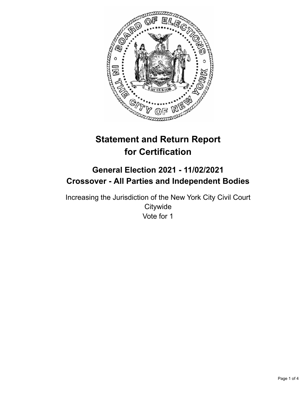

# **Statement and Return Report for Certification**

# **General Election 2021 - 11/02/2021 Crossover - All Parties and Independent Bodies**

Increasing the Jurisdiction of the New York City Civil Court **Citywide** Vote for 1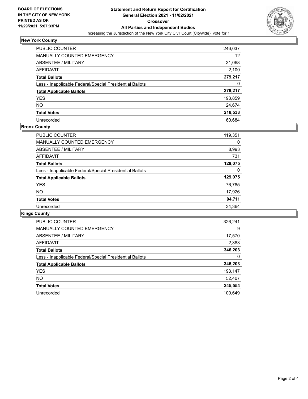

# **New York County**

| <b>PUBLIC COUNTER</b>                                    | 246,037 |
|----------------------------------------------------------|---------|
| MANUALLY COUNTED EMERGENCY                               | 12      |
| ABSENTEE / MILITARY                                      | 31,068  |
| AFFIDAVIT                                                | 2,100   |
| <b>Total Ballots</b>                                     | 279,217 |
| Less - Inapplicable Federal/Special Presidential Ballots | 0       |
| <b>Total Applicable Ballots</b>                          | 279,217 |
| <b>YES</b>                                               | 193,859 |
| <b>NO</b>                                                | 24,674  |
| <b>Total Votes</b>                                       | 218,533 |
| Unrecorded                                               | 60.684  |

### **Bronx County**

| <b>PUBLIC COUNTER</b>                                    | 119,351 |
|----------------------------------------------------------|---------|
| MANUALLY COUNTED EMERGENCY                               | 0       |
| ABSENTEE / MILITARY                                      | 8,993   |
| AFFIDAVIT                                                | 731     |
| <b>Total Ballots</b>                                     | 129,075 |
| Less - Inapplicable Federal/Special Presidential Ballots | 0       |
| <b>Total Applicable Ballots</b>                          | 129,075 |
| <b>YES</b>                                               | 76,785  |
| NO.                                                      | 17,926  |
| <b>Total Votes</b>                                       | 94,711  |
| Unrecorded                                               | 34.364  |

# **Kings County**

| <b>PUBLIC COUNTER</b>                                    | 326,241 |
|----------------------------------------------------------|---------|
| MANUALLY COUNTED EMERGENCY                               | 9       |
| ABSENTEE / MILITARY                                      | 17,570  |
| AFFIDAVIT                                                | 2,383   |
| <b>Total Ballots</b>                                     | 346,203 |
| Less - Inapplicable Federal/Special Presidential Ballots | 0       |
| <b>Total Applicable Ballots</b>                          | 346,203 |
| <b>YES</b>                                               | 193,147 |
| NO.                                                      | 52,407  |
| <b>Total Votes</b>                                       | 245,554 |
| Unrecorded                                               | 100.649 |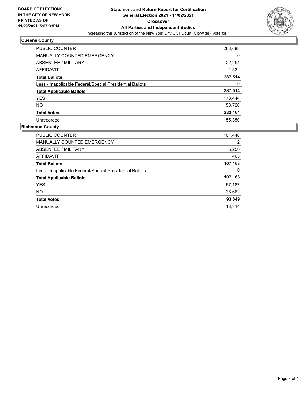

### **Queens County**

| PUBLIC COUNTER                                           | 263,688 |
|----------------------------------------------------------|---------|
| <b>MANUALLY COUNTED EMERGENCY</b>                        | 0       |
| ABSENTEE / MILITARY                                      | 22,294  |
| <b>AFFIDAVIT</b>                                         | 1,532   |
| <b>Total Ballots</b>                                     | 287,514 |
| Less - Inapplicable Federal/Special Presidential Ballots | 0       |
| <b>Total Applicable Ballots</b>                          | 287,514 |
| <b>YES</b>                                               | 173,444 |
| NO.                                                      | 58,720  |
| <b>Total Votes</b>                                       | 232,164 |
| Unrecorded                                               | 55.350  |

### **Richmond County**

| PUBLIC COUNTER                                           | 101,448 |
|----------------------------------------------------------|---------|
| <b>MANUALLY COUNTED EMERGENCY</b>                        | 2       |
| ABSENTEE / MILITARY                                      | 5,250   |
| AFFIDAVIT                                                | 463     |
| <b>Total Ballots</b>                                     | 107,163 |
| Less - Inapplicable Federal/Special Presidential Ballots | 0       |
| <b>Total Applicable Ballots</b>                          | 107,163 |
| <b>YES</b>                                               | 57,187  |
| NO.                                                      | 36,662  |
| <b>Total Votes</b>                                       | 93,849  |
| Unrecorded                                               | 13.314  |